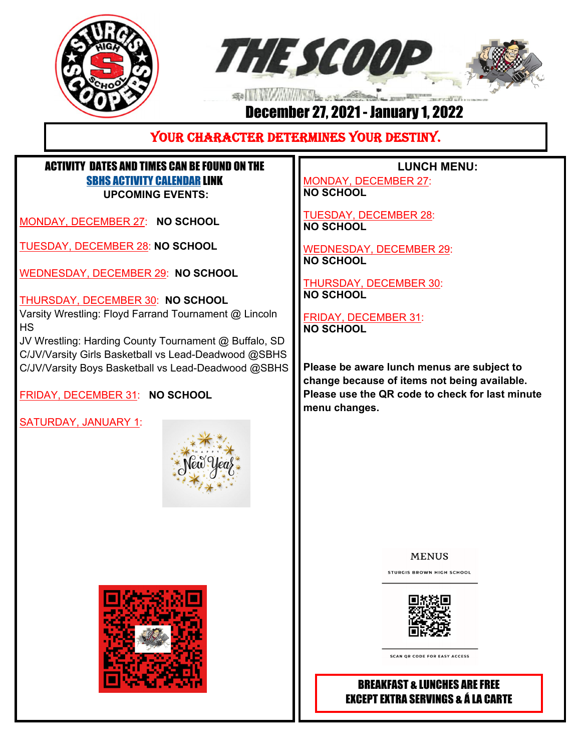



## December 27, 2021 - January 1, 2022

## YOUR CHARACTER DETERMINES YOUR DESTINY.

## ACTIVITY DATES AND TIMES CAN BE FOUND ON THE SBHS ACTIVITY CALENDAR LINK **UPCOMING EVENTS:**

MONDAY, DECEMBER 27: **NO SCHOOL**

TUESDAY, DECEMBER 28: **NO SCHOOL**

WEDNESDAY, DECEMBER 29: **NO SCHOOL**

THURSDAY, DECEMBER 30: **NO SCHOOL** Varsity Wrestling: Floyd Farrand Tournament @ Lincoln HS

JV Wrestling: Harding County Tournament @ Buffalo, SD C/JV/Varsity Girls Basketball vs Lead-Deadwood @SBHS C/JV/Varsity Boys Basketball vs Lead-Deadwood @SBHS

FRIDAY, DECEMBER 31: **NO SCHOOL**

SATURDAY, JANUARY 1:





 **LUNCH MENU:** 

MONDAY, DECEMBER 27: **NO SCHOOL** 

TUESDAY, DECEMBER 28: **NO SCHOOL** 

WEDNESDAY, DECEMBER 29: **NO SCHOOL** 

THURSDAY, DECEMBER 30: **NO SCHOOL** 

FRIDAY, DECEMBER 31: **NO SCHOOL** 

**Please be aware lunch menus are subject to change because of items not being available. Please use the QR code to check for last minute menu changes.**

**MENUS** 

**STURGIS BROWN HIGH SCHOOL** 



**SCAN OR CODE FOR EASY ACCESS** 

## BREAKFAST & LUNCHES ARE FREE EXCEPT EXTRA SERVINGS & Á LA CARTE